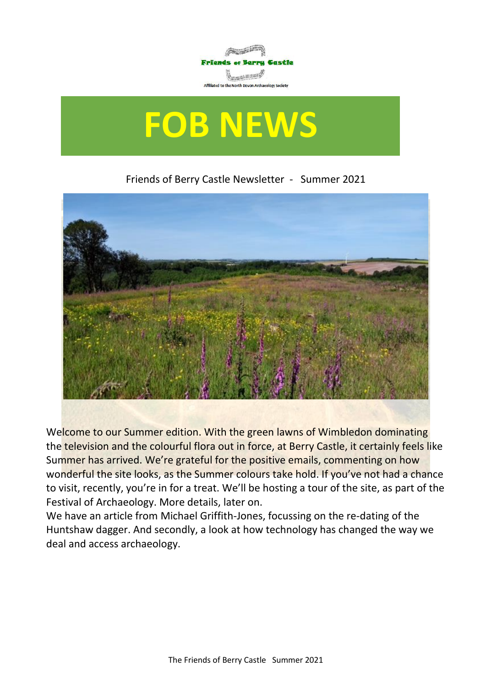



Friends of Berry Castle Newsletter - Summer 2021



Welcome to our Summer edition. With the green lawns of Wimbledon dominating the television and the colourful flora out in force, at Berry Castle, it certainly feels like Summer has arrived. We're grateful for the positive emails, commenting on how wonderful the site looks, as the Summer colours take hold. If you've not had a chance to visit, recently, you're in for a treat. We'll be hosting a tour of the site, as part of the Festival of Archaeology. More details, later on.

We have an article from Michael Griffith-Jones, focussing on the re-dating of the Huntshaw dagger. And secondly, a look at how technology has changed the way we deal and access archaeology.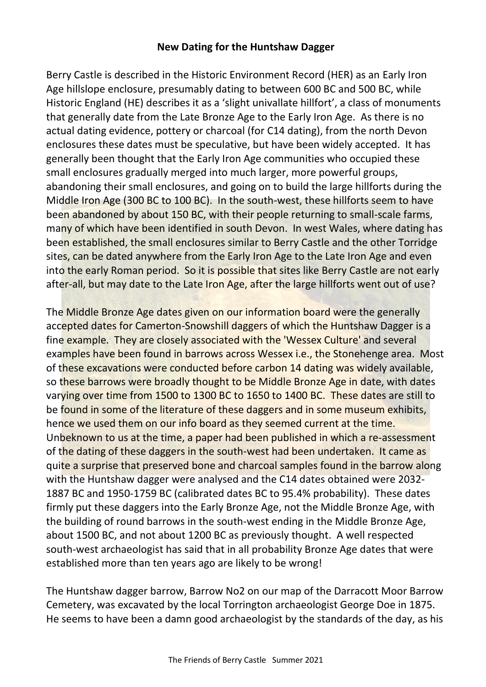## **New Dating for the Huntshaw Dagger**

Berry Castle is described in the Historic Environment Record (HER) as an Early Iron Age hillslope enclosure, presumably dating to between 600 BC and 500 BC, while Historic England (HE) describes it as a 'slight univallate hillfort', a class of monuments that generally date from the Late Bronze Age to the Early Iron Age. As there is no actual dating evidence, pottery or charcoal (for C14 dating), from the north Devon enclosures these dates must be speculative, but have been widely accepted. It has generally been thought that the Early Iron Age communities who occupied these small enclosures gradually merged into much larger, more powerful groups, abandoning their small enclosures, and going on to build the large hillforts during the Middle Iron Age (300 BC to 100 BC). In the south-west, these hillforts seem to have been abandoned by about 150 BC, with their people returning to small-scale farms, many of which have been identified in south Devon. In west Wales, where dating has been established, the small enclosures similar to Berry Castle and the other Torridge sites, can be dated anywhere from the Early Iron Age to the Late Iron Age and even into the early Roman period. So it is possible that sites like Berry Castle are not early after-all, but may date to the Late Iron Age, after the large hillforts went out of use?

The Middle Bronze Age dates given on our information board were the generally accepted dates for Camerton-Snowshill daggers of which the Huntshaw Dagger is a fine example. They are closely associated with the 'Wessex Culture' and several examples have been found in barrows across Wessex i.e., the Stonehenge area. Most of these excavations were conducted before carbon 14 dating was widely available, so these barrows were broadly thought to be Middle Bronze Age in date, with dates varying over time from 1500 to 1300 BC to 1650 to 1400 BC. These dates are still to be found in some of the literature of these daggers and in some museum exhibits, hence we used them on our info board as they seemed current at the time. Unbeknown to us at the time, a paper had been published in which a re-assessment of the dating of these daggers in the south-west had been undertaken. It came as quite a surprise that preserved bone and charcoal samples found in the barrow along with the Huntshaw dagger were analysed and the C14 dates obtained were 2032- 1887 BC and 1950-1759 BC (calibrated dates BC to 95.4% probability). These dates firmly put these daggers into the Early Bronze Age, not the Middle Bronze Age, with the building of round barrows in the south-west ending in the Middle Bronze Age, about 1500 BC, and not about 1200 BC as previously thought. A well respected south-west archaeologist has said that in all probability Bronze Age dates that were established more than ten years ago are likely to be wrong!

The Huntshaw dagger barrow, Barrow No2 on our map of the Darracott Moor Barrow Cemetery, was excavated by the local Torrington archaeologist George Doe in 1875. He seems to have been a damn good archaeologist by the standards of the day, as his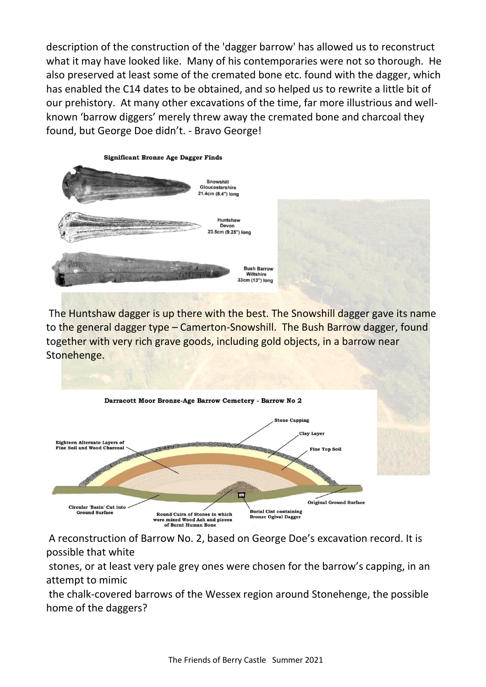description of the construction of the 'dagger barrow' has allowed us to reconstruct what it may have looked like. Many of his contemporaries were not so thorough. He also preserved at least some of the cremated bone etc. found with the dagger, which has enabled the C14 dates to be obtained, and so helped us to rewrite a little bit of our prehistory. At many other excavations of the time, far more illustrious and wellknown 'barrow diggers' merely threw away the cremated bone and charcoal they found, but George Doe didn't. - Bravo George!



The Huntshaw dagger is up there with the best. The Snowshill dagger gave its name to the general dagger type – Camerton-Snowshill. The Bush Barrow dagger, found together with very rich grave goods, including gold objects, in a barrow near Stonehenge.



A reconstruction of Barrow No. 2, based on George Doe's excavation record. It is possible that white

stones, or at least very pale grey ones were chosen for the barrow's capping, in an attempt to mimic

the chalk-covered barrows of the Wessex region around Stonehenge, the possible home of the daggers?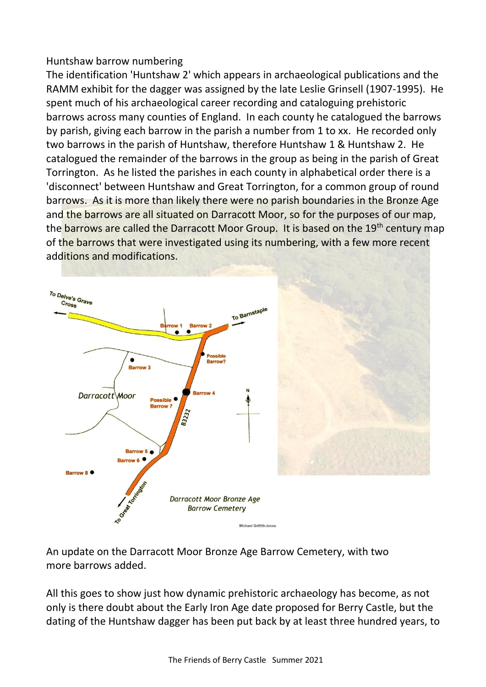## Huntshaw barrow numbering

The identification 'Huntshaw 2' which appears in archaeological publications and the RAMM exhibit for the dagger was assigned by the late Leslie Grinsell (1907-1995). He spent much of his archaeological career recording and cataloguing prehistoric barrows across many counties of England. In each county he catalogued the barrows by parish, giving each barrow in the parish a number from 1 to xx. He recorded only two barrows in the parish of Huntshaw, therefore Huntshaw 1 & Huntshaw 2. He catalogued the remainder of the barrows in the group as being in the parish of Great Torrington. As he listed the parishes in each county in alphabetical order there is a 'disconnect' between Huntshaw and Great Torrington, for a common group of round barrows. As it is more than likely there were no parish boundaries in the Bronze Age and the barrows are all situated on Darracott Moor, so for the purposes of our map, the barrows are called the Darracott Moor Group. It is based on the 19<sup>th</sup> century map of the barrows that were investigated using its numbering, with a few more recent additions and modifications.



An update on the Darracott Moor Bronze Age Barrow Cemetery, with two more barrows added.

All this goes to show just how dynamic prehistoric archaeology has become, as not only is there doubt about the Early Iron Age date proposed for Berry Castle, but the dating of the Huntshaw dagger has been put back by at least three hundred years, to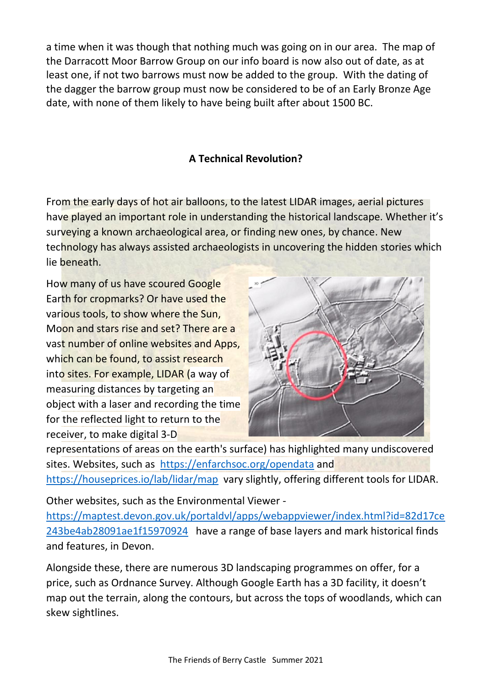a time when it was though that nothing much was going on in our area. The map of the Darracott Moor Barrow Group on our info board is now also out of date, as at least one, if not two barrows must now be added to the group. With the dating of the dagger the barrow group must now be considered to be of an Early Bronze Age date, with none of them likely to have being built after about 1500 BC.

## **A Technical Revolution?**

From the early days of hot air balloons, to the latest LIDAR images, aerial pictures have played an important role in understanding the historical landscape. Whether it's surveying a known archaeological area, or finding new ones, by chance. New technology has always assisted archaeologists in uncovering the hidden stories which lie beneath.

How many of us have scoured Google Earth for cropmarks? Or have used the various tools, to show where the Sun, Moon and stars rise and set? There are a vast number of online websites and Apps, which can be found, to assist research into sites. For example, LIDAR (a way of measuring distances by targeting an object with a [laser](https://en.wikipedia.org/wiki/Laser) and recording the time for the reflected light to return to the receiver, to make digital [3-D](https://en.wikipedia.org/wiki/3D_modeling) 



[representations](https://en.wikipedia.org/wiki/3D_modeling) of areas on the earth's surface) has highlighted many undiscovered sites. Websites, such as <https://enfarchsoc.org/opendata> and <https://houseprices.io/lab/lidar/map>vary slightly, offering different tools for LIDAR.

Other websites, such as the Environmental Viewer -

[https://maptest.devon.gov.uk/portaldvl/apps/webappviewer/index.html?id=82d17ce](https://maptest.devon.gov.uk/portaldvl/apps/webappviewer/index.html?id=82d17ce243be4ab28091ae1f15970924) [243be4ab28091ae1f15970924](https://maptest.devon.gov.uk/portaldvl/apps/webappviewer/index.html?id=82d17ce243be4ab28091ae1f15970924) have a range of base layers and mark historical finds and features, in Devon.

Alongside these, there are numerous 3D landscaping programmes on offer, for a price, such as Ordnance Survey. Although Google Earth has a 3D facility, it doesn't map out the terrain, along the contours, but across the tops of woodlands, which can skew sightlines.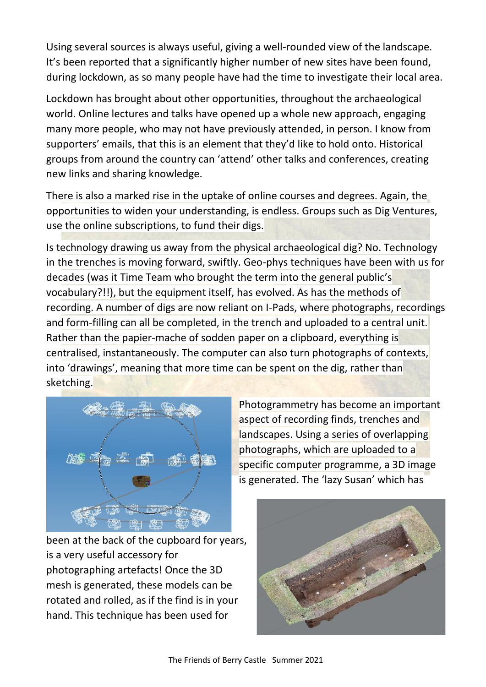Using several sources is always useful, giving a well-rounded view of the landscape. It's been reported that a significantly higher number of new sites have been found, during lockdown, as so many people have had the time to investigate their local area.

Lockdown has brought about other opportunities, throughout the archaeological world. Online lectures and talks have opened up a whole new approach, engaging many more people, who may not have previously attended, in person. I know from supporters' emails, that this is an element that they'd like to hold onto. Historical groups from around the country can 'attend' other talks and conferences, creating new links and sharing knowledge.

There is also a marked rise in the uptake of online courses and degrees. Again, the opportunities to widen your understanding, is endless. Groups such as Dig Ventures, use the online subscriptions, to fund their digs.

Is technology drawing us away from the physical archaeological dig? No. Technology in the trenches is moving forward, swiftly. Geo-phys techniques have been with us for decades (was it Time Team who brought the term into the general public's vocabulary?!!), but the equipment itself, has evolved. As has the methods of recording. A number of digs are now reliant on I-Pads, where photographs, recordings and form-filling can all be completed, in the trench and uploaded to a central unit. Rather than the papier-mache of sodden paper on a clipboard, everything is centralised, instantaneously. The computer can also turn photographs of contexts, into 'drawings', meaning that more time can be spent on the dig, rather than sketching.



Photogrammetry has become an important aspect of recording finds, trenches and landscapes. Using a series of overlapping photographs, which are uploaded to a specific computer programme, a 3D image is generated. The 'lazy Susan' which has

been at the back of the cupboard for years, is a very useful accessory for photographing artefacts! Once the 3D mesh is generated, these models can be rotated and rolled, as if the find is in your hand. This technique has been used for

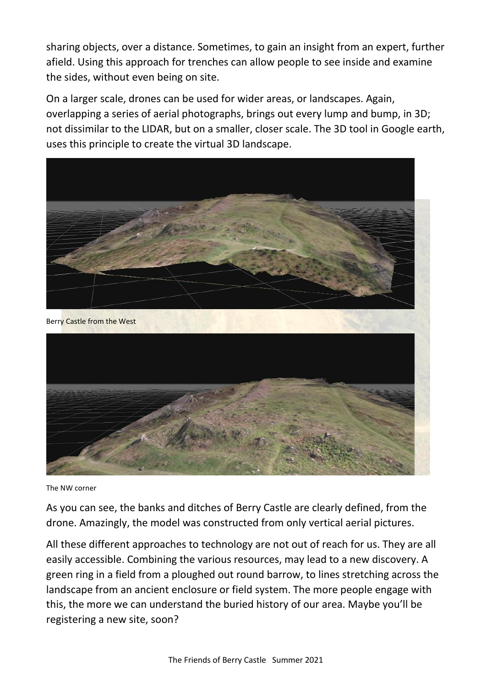sharing objects, over a distance. Sometimes, to gain an insight from an expert, further afield. Using this approach for trenches can allow people to see inside and examine the sides, without even being on site.

On a larger scale, drones can be used for wider areas, or landscapes. Again, overlapping a series of aerial photographs, brings out every lump and bump, in 3D; not dissimilar to the LIDAR, but on a smaller, closer scale. The 3D tool in Google earth, uses this principle to create the virtual 3D landscape.



The NW corner

As you can see, the banks and ditches of Berry Castle are clearly defined, from the drone. Amazingly, the model was constructed from only vertical aerial pictures.

All these different approaches to technology are not out of reach for us. They are all easily accessible. Combining the various resources, may lead to a new discovery. A green ring in a field from a ploughed out round barrow, to lines stretching across the landscape from an ancient enclosure or field system. The more people engage with this, the more we can understand the buried history of our area. Maybe you'll be registering a new site, soon?